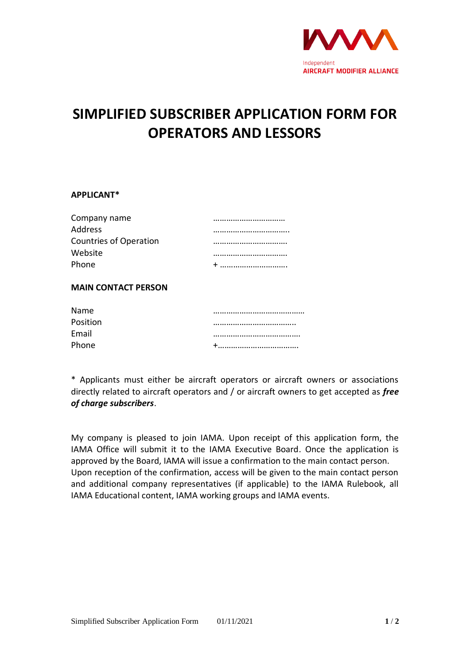

## **SIMPLIFIED SUBSCRIBER APPLICATION FORM FOR OPERATORS AND LESSORS**

## **APPLICANT\***

| Company name                  |  |
|-------------------------------|--|
| <b>Address</b>                |  |
| <b>Countries of Operation</b> |  |
| Website                       |  |
| Phone                         |  |
|                               |  |

## **MAIN CONTACT PERSON**

| <b>Name</b> |  |
|-------------|--|
| Position    |  |
| Email       |  |
| Phone       |  |

\* Applicants must either be aircraft operators or aircraft owners or associations directly related to aircraft operators and / or aircraft owners to get accepted as *free of charge subscribers*.

My company is pleased to join IAMA. Upon receipt of this application form, the IAMA Office will submit it to the IAMA Executive Board. Once the application is approved by the Board, IAMA will issue a confirmation to the main contact person. Upon reception of the confirmation, access will be given to the main contact person and additional company representatives (if applicable) to the IAMA Rulebook, all IAMA Educational content, IAMA working groups and IAMA events.